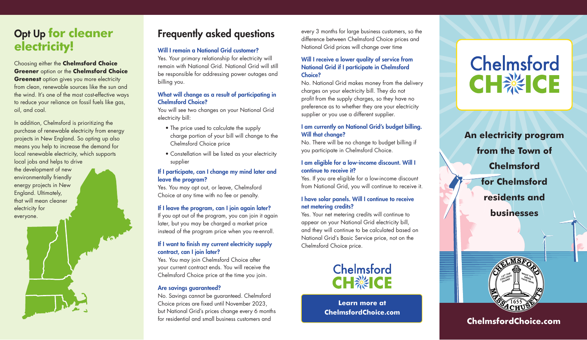## Opt Up **for cleaner electricity!**

#### Choosing either the **Chelmsford Choice Greener** option or the **Chelmsford Choice**

**Greenest** option gives you more electricity from clean, renewable sources like the sun and the wind. It's one of the most cost-effective ways to reduce your reliance on fossil fuels like gas, oil, and coal.

In addition, Chelmsford is prioritizing the purchase of renewable electricity from energy projects in New England. So opting up also means you help to increase the demand for local renewable electricity, which supports local jobs and helps to drive the development of new environmentally friendly energy projects in New England. Ultimately, that will mean cleaner electricity for everyone.

# Frequently asked questions

#### Will I remain a National Grid customer?

Yes. Your primary relationship for electricity will remain with National Grid. National Grid will still be responsible for addressing power outages and billing you.

#### What will change as a result of participating in Chelmsford Choice?

You will see two changes on your National Grid electricity bill:

- The price used to calculate the supply charge portion of your bill will change to the Chelmsford Choice price
- Constellation will be listed as your electricity supplier

#### If I participate, can I change my mind later and leave the program?

Yes. You may opt out, or leave, Chelmsford Choice at any time with no fee or penalty.

#### If I leave the program, can I join again later?

If you opt out of the program, you can join it again later, but you may be charged a market price instead of the program price when you re-enroll.

#### If I want to finish my current electricity supply contract, can I join later?

Yes. You may join Chelmsford Choice after your current contract ends. You will receive the Chelmsford Choice price at the time you join.

#### Are savings guaranteed?

No. Savings cannot be guaranteed. Chelmsford Choice prices are fixed until November 2023, but National Grid's prices change every 6 months for residential and small business customers and

every 3 months for large business customers, so the difference between Chelmsford Choice prices and National Grid prices will change over time

#### Will I receive a lower quality of service from National Grid if I participate in Chelmsford Choice?

No. National Grid makes money from the delivery charges on your electricity bill. They do not profit from the supply charges, so they have no preference as to whether they are your electricity supplier or you use a different supplier.

#### I am currently on National Grid's budget billing. Will that change?

No. There will be no change to budget billing if you participate in Chelmsford Choice.

#### I am eligible for a low-income discount. Will I continue to receive it?

Yes. If you are eligible for a low-income discount from National Grid, you will continue to receive it.

#### I have solar panels. Will I continue to receive net metering credits?

Yes. Your net metering credits will continue to appear on your National Grid electricity bill, and they will continue to be calculated based on National Grid's Basic Service price, not on the Chelmsford Choice price.



**Learn more at ChelmsfordChoice.com**

# Chelmsford **CH※ICE**

**An electricity program from the Town of Chelmsford for Chelmsford residents and businesses** 



**ChelmsfordChoice.com**